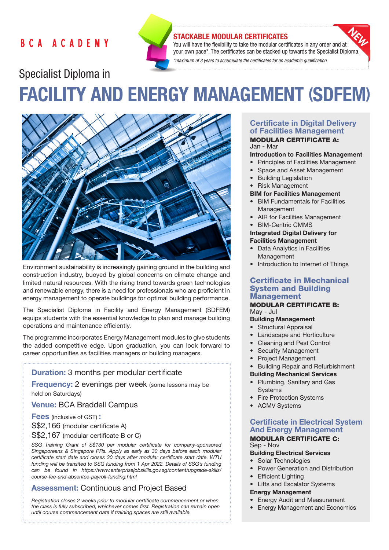# **BCA ACADEMY**



# STACKABLE MODULAR CERTIFICATES

You will have the flexibility to take the modular certificates in any order and at your own pace\*. The certificates can be stacked up towards the Specialist Diploma. *\*maximum of 3 years to accumulate the certificates for an academic qualification* 

# Specialist Diploma in FACILITY AND ENERGY MANAGEMENT (SDFEM)



Environment sustainability is increasingly gaining ground in the building and construction industry, buoyed by global concerns on climate change and limited natural resources. With the rising trend towards green technologies and renewable energy, there is a need for professionals who are proficient in energy management to operate buildings for optimal building performance.

The Specialist Diploma in Facility and Energy Management (SDFEM) equips students with the essential knowledge to plan and manage building operations and maintenance efficiently.

The programme incorporates Energy Management modules to give students the added competitive edge. Upon graduation, you can look forward to career opportunities as facilities managers or building managers.

#### Duration: 3 months per modular certificate

**Frequency:** 2 evenings per week (some lessons may be held on Saturdays)

Venue: BCA Braddell Campus

Fees (inclusive of GST) :

S\$2,166 (modular certificate A)

S\$2,167 (modular certificate B or C)

*SSG Training Grant of S\$130 per modular certificate for company-sponsored Singaporeans & Singapore PRs. Apply as early as 30 days before each modular certificate start date and closes 30 days after modular certificate start date. WTU funding will be transited to SSG funding from 1 Apr 2022. Details of SSG's funding can be found in https://www.enterprisejobskills.gov.sg/content/upgrade-skills/ course-fee-and-absentee-payroll-funding.html*

# Assessment: Continuous and Project Based

*Registration closes 2 weeks prior to modular certificate commencement or when the class is fully subscribed, whichever comes first. Registration can remain open until course commencement date if training spaces are still available.*

#### Certificate in Digital Delivery of Facilities Management MODULAR CERTIFICATE A:

Jan - Mar

#### Introduction to Facilities Management

- Principles of Facilities Management
- Space and Asset Management
- Building Legislation
- Risk Management

#### BIM for Facilities Management

- BIM Fundamentals for Facilities Management
- AIR for Facilities Management
- BIM-Centric CMMS

# Integrated Digital Delivery for Facilities Management

- **Data Analytics in Facilities** Management
- Introduction to Internet of Things

# Certificate in Mechanical System and Building Management

#### MODULAR CERTIFICATE B: May - Jul

#### Building Management

- Structural Appraisal
- Landscape and Horticulture
- Cleaning and Pest Control
- Security Management
- Project Management

#### • Building Repair and Refurbishment

#### Building Mechanical Services

- Plumbing, Sanitary and Gas **Systems**
- **Fire Protection Systems**
- ACMV Systems

# Certificate in Electrical System And Energy Management

#### MODULAR CERTIFICATE C: Sep - Nov

# Building Electrical Services

- Solar Technologies
- Power Generation and Distribution
- Efficient Lighting
- **Lifts and Escalator Systems**

#### Energy Management

- Energy Audit and Measurement
- Energy Management and Economics